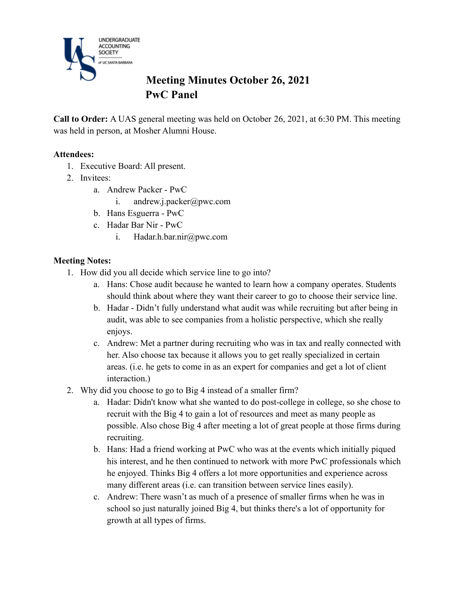

# **Meeting Minutes October 26, 2021 PwC Panel**

**Call to Order:** A UAS general meeting was held on October 26, 2021, at 6:30 PM. This meeting was held in person, at Mosher Alumni House.

### **Attendees:**

- 1. Executive Board: All present.
- 2. Invitees:
	- a. Andrew Packer PwC
		- i. andrew.j.packer@pwc.com
	- b. Hans Esguerra PwC
	- c. Hadar Bar Nir PwC
		- i. Hadar.h.bar.nir@pwc.com

### **Meeting Notes:**

- 1. How did you all decide which service line to go into?
	- a. Hans: Chose audit because he wanted to learn how a company operates. Students should think about where they want their career to go to choose their service line.
	- b. Hadar Didn't fully understand what audit was while recruiting but after being in audit, was able to see companies from a holistic perspective, which she really enjoys.
	- c. Andrew: Met a partner during recruiting who was in tax and really connected with her. Also choose tax because it allows you to get really specialized in certain areas. (i.e. he gets to come in as an expert for companies and get a lot of client interaction.)
- 2. Why did you choose to go to Big 4 instead of a smaller firm?
	- a. Hadar: Didn't know what she wanted to do post-college in college, so she chose to recruit with the Big 4 to gain a lot of resources and meet as many people as possible. Also chose Big 4 after meeting a lot of great people at those firms during recruiting.
	- b. Hans: Had a friend working at PwC who was at the events which initially piqued his interest, and he then continued to network with more PwC professionals which he enjoyed. Thinks Big 4 offers a lot more opportunities and experience across many different areas (i.e. can transition between service lines easily).
	- c. Andrew: There wasn't as much of a presence of smaller firms when he was in school so just naturally joined Big 4, but thinks there's a lot of opportunity for growth at all types of firms.